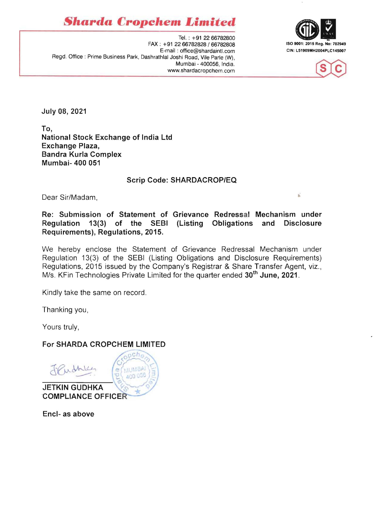**Sharda Cropchem Limited** 





Tel. : +91 2266782800 FAX: +91 2266782828/66782808 ISO 9001: 2015 Reg. No: 702949 E-mail: office@shardaintl.com Regd. Office: Prime Business Park, Dashrathlal Joshi Road, Vile Parle (W), Mumbai - 400056, India. www.shardacropchem.com

July 08, 2021

To, National Stock Exchange of India Ltd Exchange Plaza, Bandra Kurla Complex Mumbai- 400 051

## Scrip Code: SHARDACROP/EQ

Dear Sir/Madam,

Re: Submission of Statement of Grievance Redressal Mechanism under Regulation 13(3) of the SEBI (Listing Obligations and Disclosure Requirements), Regulations, 2015.

We hereby enclose the Statement of Grievance Redressal Mechanism under Regulation 13(3) of the SEBI (Listing Obligations and Disclosure Requirements) Regulations, 2015 issued by the Company's Registrar & Share Transfer Agent, viz., M/s. KFin Technologies Private Limited for the quarter ended 30<sup>th</sup> June, 2021.

Kindly take the same on record.

Thanking you,

Yours truly,

## For SHARDA CROPCHEM LIMITED

 $o$ ch<sub>o</sub>

**MUMBA** 



400 056 **JETKIN GUDHKA COMPLIANCE OFFICER** 

Encl- as above